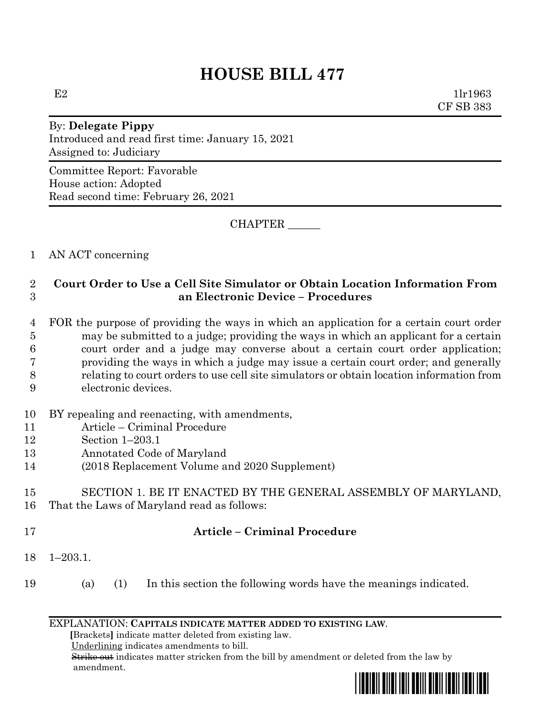$E2$  1lr1963 CF SB 383

# By: **Delegate Pippy** Introduced and read first time: January 15, 2021 Assigned to: Judiciary

Committee Report: Favorable House action: Adopted Read second time: February 26, 2021

CHAPTER \_\_\_\_\_\_

1 AN ACT concerning

## 2 **Court Order to Use a Cell Site Simulator or Obtain Location Information From**  3 **an Electronic Device – Procedures**

- 4 FOR the purpose of providing the ways in which an application for a certain court order 5 may be submitted to a judge; providing the ways in which an applicant for a certain 6 court order and a judge may converse about a certain court order application; 7 providing the ways in which a judge may issue a certain court order; and generally 8 relating to court orders to use cell site simulators or obtain location information from 9 electronic devices.
- 10 BY repealing and reenacting, with amendments,
- 11 Article Criminal Procedure
- 12 Section 1–203.1
- 13 Annotated Code of Maryland
- 14 (2018 Replacement Volume and 2020 Supplement)

## 15 SECTION 1. BE IT ENACTED BY THE GENERAL ASSEMBLY OF MARYLAND, 16 That the Laws of Maryland read as follows:

- 
- 

## 17 **Article – Criminal Procedure**

- 18 1–203.1.
- 19 (a) (1) In this section the following words have the meanings indicated.

#### EXPLANATION: **CAPITALS INDICATE MATTER ADDED TO EXISTING LAW**.

 **[**Brackets**]** indicate matter deleted from existing law.

Underlining indicates amendments to bill.

 Strike out indicates matter stricken from the bill by amendment or deleted from the law by amendment.

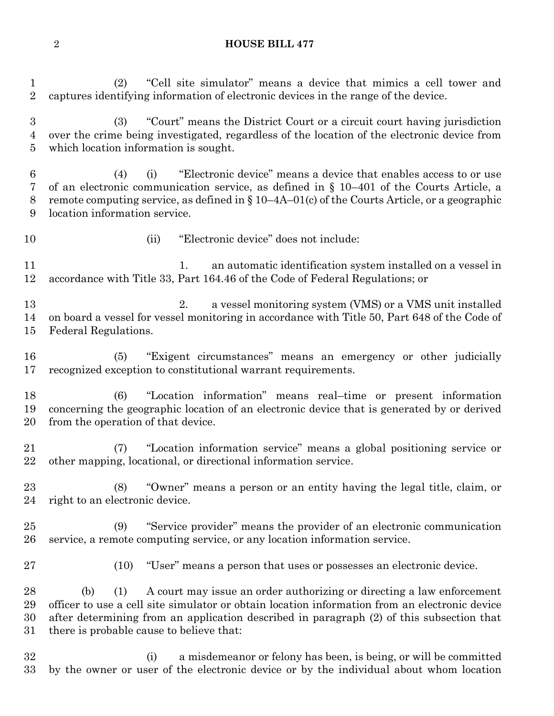(2) "Cell site simulator" means a device that mimics a cell tower and captures identifying information of electronic devices in the range of the device. (3) "Court" means the District Court or a circuit court having jurisdiction over the crime being investigated, regardless of the location of the electronic device from which location information is sought. (4) (i) "Electronic device" means a device that enables access to or use of an electronic communication service, as defined in § 10–401 of the Courts Article, a remote computing service, as defined in § 10–4A–01(c) of the Courts Article, or a geographic location information service. (ii) "Electronic device" does not include: 11 1. an automatic identification system installed on a vessel in accordance with Title 33, Part 164.46 of the Code of Federal Regulations; or 2. a vessel monitoring system (VMS) or a VMS unit installed on board a vessel for vessel monitoring in accordance with Title 50, Part 648 of the Code of Federal Regulations. (5) "Exigent circumstances" means an emergency or other judicially recognized exception to constitutional warrant requirements. (6) "Location information" means real–time or present information concerning the geographic location of an electronic device that is generated by or derived from the operation of that device. (7) "Location information service" means a global positioning service or other mapping, locational, or directional information service. (8) "Owner" means a person or an entity having the legal title, claim, or right to an electronic device. (9) "Service provider" means the provider of an electronic communication service, a remote computing service, or any location information service. (10) "User" means a person that uses or possesses an electronic device. (b) (1) A court may issue an order authorizing or directing a law enforcement officer to use a cell site simulator or obtain location information from an electronic device after determining from an application described in paragraph (2) of this subsection that there is probable cause to believe that: (i) a misdemeanor or felony has been, is being, or will be committed

by the owner or user of the electronic device or by the individual about whom location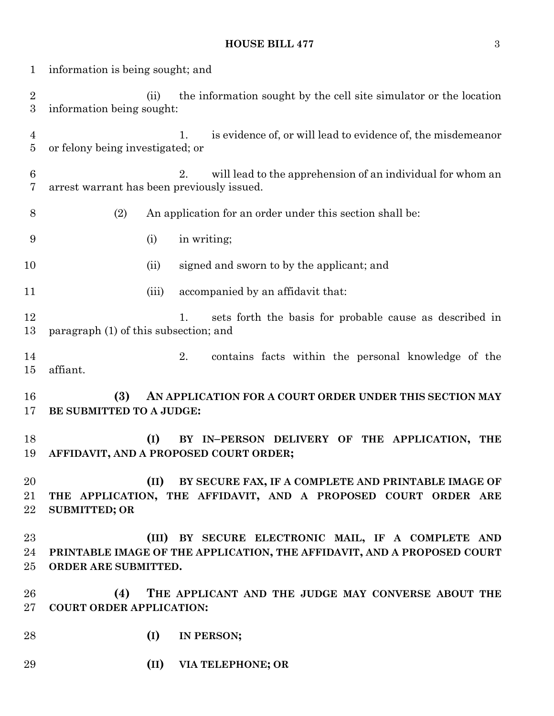## **HOUSE BILL 477** 3

| 1                              | information is being sought; and                                                                                                                         |  |  |  |
|--------------------------------|----------------------------------------------------------------------------------------------------------------------------------------------------------|--|--|--|
| $\sqrt{2}$<br>$\boldsymbol{3}$ | the information sought by the cell site simulator or the location<br>(ii)<br>information being sought:                                                   |  |  |  |
| $\overline{4}$<br>$\bf 5$      | is evidence of, or will lead to evidence of, the misdemean or<br>1.<br>or felony being investigated; or                                                  |  |  |  |
| $\,6\,$<br>7                   | will lead to the apprehension of an individual for whom an<br>2.<br>arrest warrant has been previously issued.                                           |  |  |  |
| 8                              | (2)<br>An application for an order under this section shall be:                                                                                          |  |  |  |
| 9                              | in writing;<br>(i)                                                                                                                                       |  |  |  |
| 10                             | signed and sworn to by the applicant; and<br>(ii)                                                                                                        |  |  |  |
| 11                             | (iii)<br>accompanied by an affidavit that:                                                                                                               |  |  |  |
| 12<br>13                       | sets forth the basis for probable cause as described in<br>1.<br>paragraph (1) of this subsection; and                                                   |  |  |  |
| 14<br>15                       | 2.<br>contains facts within the personal knowledge of the<br>affiant.                                                                                    |  |  |  |
| 16<br>17                       | (3)<br>AN APPLICATION FOR A COURT ORDER UNDER THIS SECTION MAY<br>BE SUBMITTED TO A JUDGE:                                                               |  |  |  |
| 18<br>19                       | (I)<br>BY IN-PERSON DELIVERY OF THE APPLICATION, THE<br>AFFIDAVIT, AND A PROPOSED COURT ORDER;                                                           |  |  |  |
| 20<br>21<br>22                 | (II)<br>BY SECURE FAX, IF A COMPLETE AND PRINTABLE IMAGE OF<br>THE APPLICATION, THE AFFIDAVIT, AND A PROPOSED COURT ORDER ARE<br><b>SUBMITTED; OR</b>    |  |  |  |
| 23<br>24<br>25                 | (III)<br>BY SECURE ELECTRONIC MAIL, IF A COMPLETE AND<br>PRINTABLE IMAGE OF THE APPLICATION, THE AFFIDAVIT, AND A PROPOSED COURT<br>ORDER ARE SUBMITTED. |  |  |  |
| 26<br>27                       | (4)<br>THE APPLICANT AND THE JUDGE MAY CONVERSE ABOUT THE<br><b>COURT ORDER APPLICATION:</b>                                                             |  |  |  |
| 28                             | (I)<br>IN PERSON;                                                                                                                                        |  |  |  |
| 29                             | (II)<br>VIA TELEPHONE; OR                                                                                                                                |  |  |  |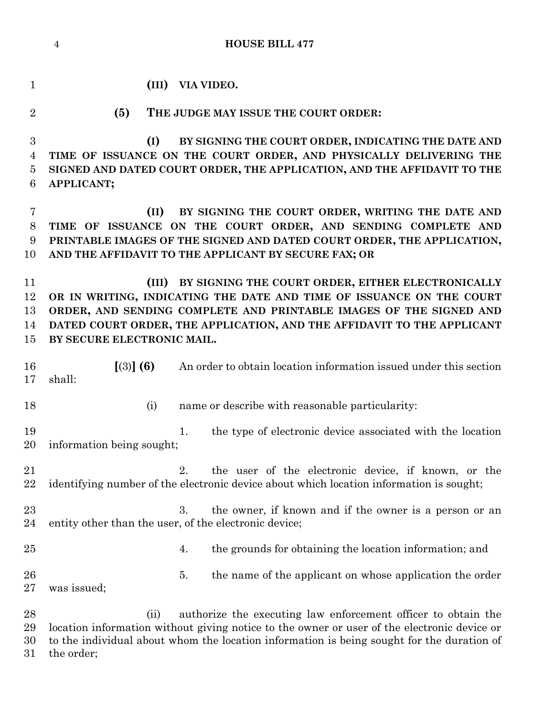**HOUSE BILL 477 (III) VIA VIDEO. (5) THE JUDGE MAY ISSUE THE COURT ORDER: (I) BY SIGNING THE COURT ORDER, INDICATING THE DATE AND TIME OF ISSUANCE ON THE COURT ORDER, AND PHYSICALLY DELIVERING THE SIGNED AND DATED COURT ORDER, THE APPLICATION, AND THE AFFIDAVIT TO THE APPLICANT; (II) BY SIGNING THE COURT ORDER, WRITING THE DATE AND TIME OF ISSUANCE ON THE COURT ORDER, AND SENDING COMPLETE AND PRINTABLE IMAGES OF THE SIGNED AND DATED COURT ORDER, THE APPLICATION, AND THE AFFIDAVIT TO THE APPLICANT BY SECURE FAX; OR (III) BY SIGNING THE COURT ORDER, EITHER ELECTRONICALLY OR IN WRITING, INDICATING THE DATE AND TIME OF ISSUANCE ON THE COURT ORDER, AND SENDING COMPLETE AND PRINTABLE IMAGES OF THE SIGNED AND DATED COURT ORDER, THE APPLICATION, AND THE AFFIDAVIT TO THE APPLICANT BY SECURE ELECTRONIC MAIL. [**(3)**] (6)** An order to obtain location information issued under this section shall: 18 (i) name or describe with reasonable particularity: 19 1. the type of electronic device associated with the location information being sought; 2. the user of the electronic device, if known, or the identifying number of the electronic device about which location information is sought; 23 3. the owner, if known and if the owner is a person or an entity other than the user, of the electronic device; 25 25 4. the grounds for obtaining the location information; and 26 5. the name of the applicant on whose application the order was issued;

 (ii) authorize the executing law enforcement officer to obtain the location information without giving notice to the owner or user of the electronic device or to the individual about whom the location information is being sought for the duration of the order;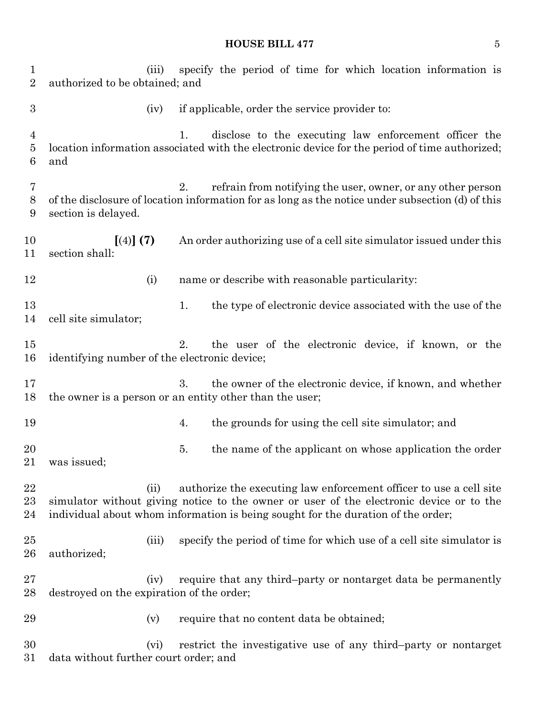## **HOUSE BILL 477** 5

| $\mathbf{1}$<br>$\overline{2}$        | specify the period of time for which location information is<br>(iii)<br>authorized to be obtained; and                                                                                                                                                   |    |                                                                                                                                                        |  |  |
|---------------------------------------|-----------------------------------------------------------------------------------------------------------------------------------------------------------------------------------------------------------------------------------------------------------|----|--------------------------------------------------------------------------------------------------------------------------------------------------------|--|--|
| $\boldsymbol{3}$                      | (iv)                                                                                                                                                                                                                                                      |    | if applicable, order the service provider to:                                                                                                          |  |  |
| $\overline{4}$<br>$\overline{5}$<br>6 | and                                                                                                                                                                                                                                                       | 1. | disclose to the executing law enforcement officer the<br>location information associated with the electronic device for the period of time authorized; |  |  |
| 7<br>$8\,$<br>9                       | 2.<br>refrain from notifying the user, owner, or any other person<br>of the disclosure of location information for as long as the notice under subsection (d) of this<br>section is delayed.                                                              |    |                                                                                                                                                        |  |  |
| 10<br>11                              | [(4)] (7)<br>section shall:                                                                                                                                                                                                                               |    | An order authorizing use of a cell site simulator issued under this                                                                                    |  |  |
| 12                                    | (i)                                                                                                                                                                                                                                                       |    | name or describe with reasonable particularity:                                                                                                        |  |  |
| 13<br>14                              | cell site simulator;                                                                                                                                                                                                                                      | 1. | the type of electronic device associated with the use of the                                                                                           |  |  |
| 15<br>16                              | the user of the electronic device, if known, or the<br>2.<br>identifying number of the electronic device;                                                                                                                                                 |    |                                                                                                                                                        |  |  |
| 17<br>18                              | 3.<br>the owner of the electronic device, if known, and whether<br>the owner is a person or an entity other than the user;                                                                                                                                |    |                                                                                                                                                        |  |  |
| 19                                    |                                                                                                                                                                                                                                                           | 4. | the grounds for using the cell site simulator; and                                                                                                     |  |  |
| 20<br>21                              | was issued;                                                                                                                                                                                                                                               | 5. | the name of the applicant on whose application the order                                                                                               |  |  |
| 22<br>23<br>24                        | authorize the executing law enforcement officer to use a cell site<br>(ii)<br>simulator without giving notice to the owner or user of the electronic device or to the<br>individual about whom information is being sought for the duration of the order; |    |                                                                                                                                                        |  |  |
| 25<br>26                              | (iii)<br>authorized;                                                                                                                                                                                                                                      |    | specify the period of time for which use of a cell site simulator is                                                                                   |  |  |
| 27<br>28                              | require that any third-party or nontarget data be permanently<br>(iv)<br>destroyed on the expiration of the order;                                                                                                                                        |    |                                                                                                                                                        |  |  |
| 29                                    | (v)                                                                                                                                                                                                                                                       |    | require that no content data be obtained;                                                                                                              |  |  |
| 30<br>31                              | (vi)<br>data without further court order; and                                                                                                                                                                                                             |    | restrict the investigative use of any third-party or nontarget                                                                                         |  |  |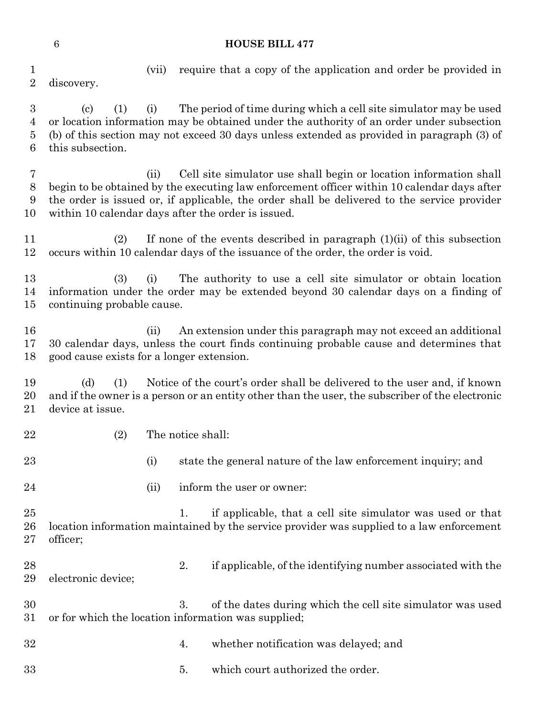- (vii) require that a copy of the application and order be provided in discovery. (c) (1) (i) The period of time during which a cell site simulator may be used or location information may be obtained under the authority of an order under subsection
- (b) of this section may not exceed 30 days unless extended as provided in paragraph (3) of this subsection.
- (ii) Cell site simulator use shall begin or location information shall begin to be obtained by the executing law enforcement officer within 10 calendar days after the order is issued or, if applicable, the order shall be delivered to the service provider within 10 calendar days after the order is issued.
- (2) If none of the events described in paragraph (1)(ii) of this subsection occurs within 10 calendar days of the issuance of the order, the order is void.
- (3) (i) The authority to use a cell site simulator or obtain location information under the order may be extended beyond 30 calendar days on a finding of continuing probable cause.
- (ii) An extension under this paragraph may not exceed an additional 30 calendar days, unless the court finds continuing probable cause and determines that good cause exists for a longer extension.
- (d) (1) Notice of the court's order shall be delivered to the user and, if known and if the owner is a person or an entity other than the user, the subscriber of the electronic device at issue.
- (2) The notice shall:
- 

- 23 (i) state the general nature of the law enforcement inquiry; and
- 24 (ii) inform the user or owner:

 1. if applicable, that a cell site simulator was used or that location information maintained by the service provider was supplied to a law enforcement officer;

- 28 28 2. if applicable, of the identifying number associated with the electronic device;
- 3. of the dates during which the cell site simulator was used or for which the location information was supplied;
- 4. whether notification was delayed; and
- 5. which court authorized the order.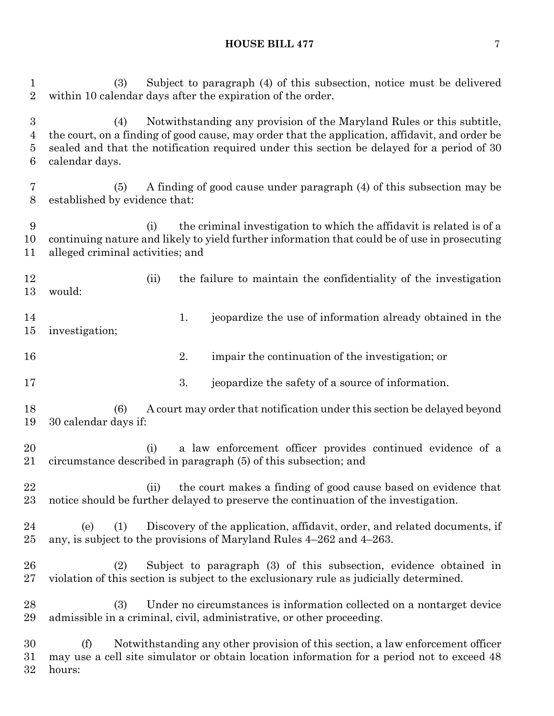## **HOUSE BILL 477** 7

 (3) Subject to paragraph (4) of this subsection, notice must be delivered within 10 calendar days after the expiration of the order. (4) Notwithstanding any provision of the Maryland Rules or this subtitle, the court, on a finding of good cause, may order that the application, affidavit, and order be sealed and that the notification required under this section be delayed for a period of 30 calendar days. (5) A finding of good cause under paragraph (4) of this subsection may be established by evidence that: (i) the criminal investigation to which the affidavit is related is of a continuing nature and likely to yield further information that could be of use in prosecuting alleged criminal activities; and (ii) the failure to maintain the confidentiality of the investigation would: 14 1. jeopardize the use of information already obtained in the investigation; 2. impair the continuation of the investigation; or 17 3. jeopardize the safety of a source of information. (6) A court may order that notification under this section be delayed beyond 30 calendar days if: (i) a law enforcement officer provides continued evidence of a circumstance described in paragraph (5) of this subsection; and (ii) the court makes a finding of good cause based on evidence that notice should be further delayed to preserve the continuation of the investigation. (e) (1) Discovery of the application, affidavit, order, and related documents, if any, is subject to the provisions of Maryland Rules 4–262 and 4–263. (2) Subject to paragraph (3) of this subsection, evidence obtained in violation of this section is subject to the exclusionary rule as judicially determined. (3) Under no circumstances is information collected on a nontarget device admissible in a criminal, civil, administrative, or other proceeding. (f) Notwithstanding any other provision of this section, a law enforcement officer may use a cell site simulator or obtain location information for a period not to exceed 48

hours: